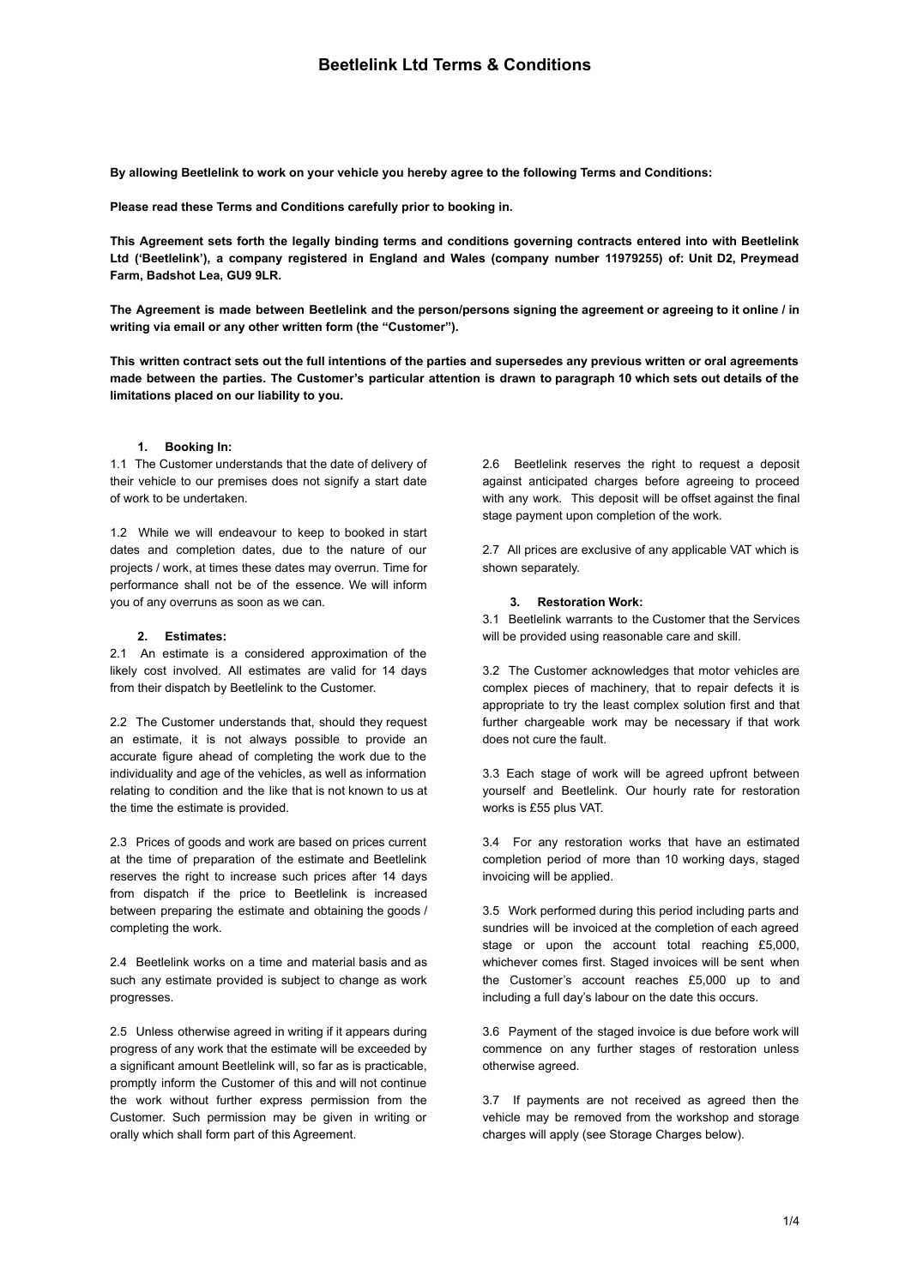**By allowing Beetlelink to work on your vehicle you hereby agree to the following Terms and Conditions:**

**Please read these Terms and Conditions carefully prior to booking in.**

This Agreement sets forth the legally binding terms and conditions governing contracts entered into with Beetlelink **Ltd ('Beetlelink'), a company registered in England and Wales (company number 11979255) of: Unit D2, Preymead Farm, Badshot Lea, GU9 9LR.**

The Agreement is made between Beetlelink and the person/persons signing the agreement or agreeing to it online / in **writing via email or any other written form (the "Customer").**

This written contract sets out the full intentions of the parties and supersedes any previous written or oral agreements made between the parties. The Customer's particular attention is drawn to paragraph 10 which sets out details of the **limitations placed on our liability to you.**

## **1. Booking In:**

1.1 The Customer understands that the date of delivery of their vehicle to our premises does not signify a start date of work to be undertaken.

1.2 While we will endeavour to keep to booked in start dates and completion dates, due to the nature of our projects / work, at times these dates may overrun. Time for performance shall not be of the essence. We will inform you of any overruns as soon as we can.

### **2. Estimates:**

2.1 An estimate is a considered approximation of the likely cost involved. All estimates are valid for 14 days from their dispatch by Beetlelink to the Customer.

2.2 The Customer understands that, should they request an estimate, it is not always possible to provide an accurate figure ahead of completing the work due to the individuality and age of the vehicles, as well as information relating to condition and the like that is not known to us at the time the estimate is provided.

2.3 Prices of goods and work are based on prices current at the time of preparation of the estimate and Beetlelink reserves the right to increase such prices after 14 days from dispatch if the price to Beetlelink is increased between preparing the estimate and obtaining the goods / completing the work.

2.4 Beetlelink works on a time and material basis and as such any estimate provided is subject to change as work progresses.

2.5 Unless otherwise agreed in writing if it appears during progress of any work that the estimate will be exceeded by a significant amount Beetlelink will, so far as is practicable, promptly inform the Customer of this and will not continue the work without further express permission from the Customer. Such permission may be given in writing or orally which shall form part of this Agreement.

2.6 Beetlelink reserves the right to request a deposit against anticipated charges before agreeing to proceed with any work. This deposit will be offset against the final stage payment upon completion of the work.

2.7 All prices are exclusive of any applicable VAT which is shown separately.

# **3. Restoration Work:**

3.1 Beetlelink warrants to the Customer that the Services will be provided using reasonable care and skill.

3.2 The Customer acknowledges that motor vehicles are complex pieces of machinery, that to repair defects it is appropriate to try the least complex solution first and that further chargeable work may be necessary if that work does not cure the fault.

3.3 Each stage of work will be agreed upfront between yourself and Beetlelink. Our hourly rate for restoration works is £55 plus VAT.

3.4 For any restoration works that have an estimated completion period of more than 10 working days, staged invoicing will be applied.

3.5 Work performed during this period including parts and sundries will be invoiced at the completion of each agreed stage or upon the account total reaching £5,000, whichever comes first. Staged invoices will be sent when the Customer's account reaches £5,000 up to and including a full day's labour on the date this occurs.

3.6 Payment of the staged invoice is due before work will commence on any further stages of restoration unless otherwise agreed.

3.7 If payments are not received as agreed then the vehicle may be removed from the workshop and storage charges will apply (see Storage Charges below).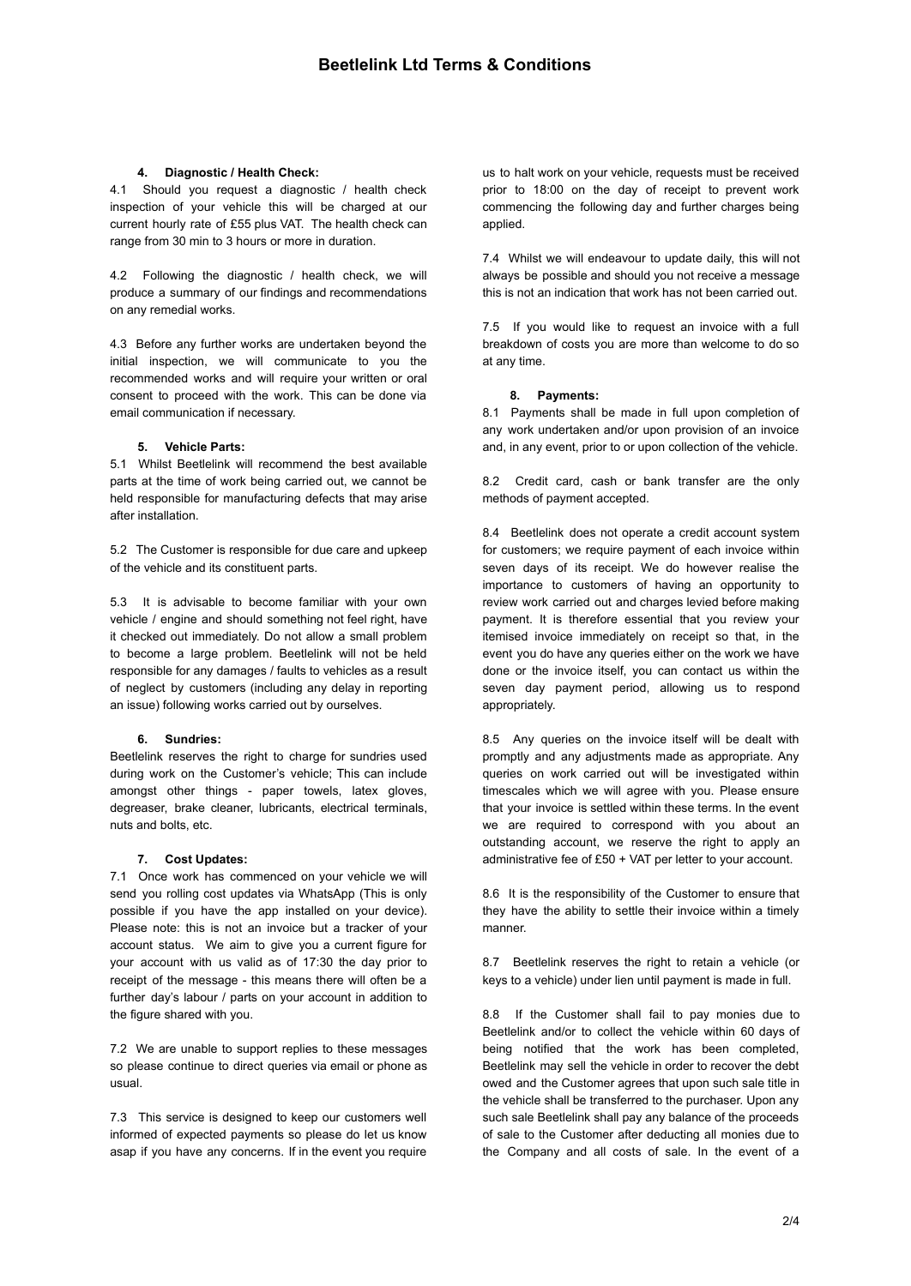## **4. Diagnostic / Health Check:**

4.1 Should you request a diagnostic / health check inspection of your vehicle this will be charged at our current hourly rate of £55 plus VAT. The health check can range from 30 min to 3 hours or more in duration.

4.2 Following the diagnostic / health check, we will produce a summary of our findings and recommendations on any remedial works.

4.3 Before any further works are undertaken beyond the initial inspection, we will communicate to you the recommended works and will require your written or oral consent to proceed with the work. This can be done via email communication if necessary.

# **5. Vehicle Parts:**

5.1 Whilst Beetlelink will recommend the best available parts at the time of work being carried out, we cannot be held responsible for manufacturing defects that may arise after installation.

5.2 The Customer is responsible for due care and upkeep of the vehicle and its constituent parts.

5.3 It is advisable to become familiar with your own vehicle / engine and should something not feel right, have it checked out immediately. Do not allow a small problem to become a large problem. Beetlelink will not be held responsible for any damages / faults to vehicles as a result of neglect by customers (including any delay in reporting an issue) following works carried out by ourselves.

### **6. Sundries:**

Beetlelink reserves the right to charge for sundries used during work on the Customer's vehicle; This can include amongst other things - paper towels, latex gloves, degreaser, brake cleaner, lubricants, electrical terminals, nuts and bolts, etc.

### **7. Cost Updates:**

7.1 Once work has commenced on your vehicle we will send you rolling cost updates via WhatsApp (This is only possible if you have the app installed on your device). Please note: this is not an invoice but a tracker of your account status. We aim to give you a current figure for your account with us valid as of 17:30 the day prior to receipt of the message - this means there will often be a further day's labour / parts on your account in addition to the figure shared with you.

7.2 We are unable to support replies to these messages so please continue to direct queries via email or phone as usual.

7.3 This service is designed to keep our customers well informed of expected payments so please do let us know asap if you have any concerns. If in the event you require us to halt work on your vehicle, requests must be received prior to 18:00 on the day of receipt to prevent work commencing the following day and further charges being applied.

7.4 Whilst we will endeavour to update daily, this will not always be possible and should you not receive a message this is not an indication that work has not been carried out.

7.5 If you would like to request an invoice with a full breakdown of costs you are more than welcome to do so at any time.

## **8. Payments:**

8.1 Payments shall be made in full upon completion of any work undertaken and/or upon provision of an invoice and, in any event, prior to or upon collection of the vehicle.

8.2 Credit card, cash or bank transfer are the only methods of payment accepted.

8.4 Beetlelink does not operate a credit account system for customers; we require payment of each invoice within seven days of its receipt. We do however realise the importance to customers of having an opportunity to review work carried out and charges levied before making payment. It is therefore essential that you review your itemised invoice immediately on receipt so that, in the event you do have any queries either on the work we have done or the invoice itself, you can contact us within the seven day payment period, allowing us to respond appropriately.

8.5 Any queries on the invoice itself will be dealt with promptly and any adjustments made as appropriate. Any queries on work carried out will be investigated within timescales which we will agree with you. Please ensure that your invoice is settled within these terms. In the event we are required to correspond with you about an outstanding account, we reserve the right to apply an administrative fee of £50 + VAT per letter to your account.

8.6 It is the responsibility of the Customer to ensure that they have the ability to settle their invoice within a timely manner.

8.7 Beetlelink reserves the right to retain a vehicle (or keys to a vehicle) under lien until payment is made in full.

8.8 If the Customer shall fail to pay monies due to Beetlelink and/or to collect the vehicle within 60 days of being notified that the work has been completed, Beetlelink may sell the vehicle in order to recover the debt owed and the Customer agrees that upon such sale title in the vehicle shall be transferred to the purchaser. Upon any such sale Beetlelink shall pay any balance of the proceeds of sale to the Customer after deducting all monies due to the Company and all costs of sale. In the event of a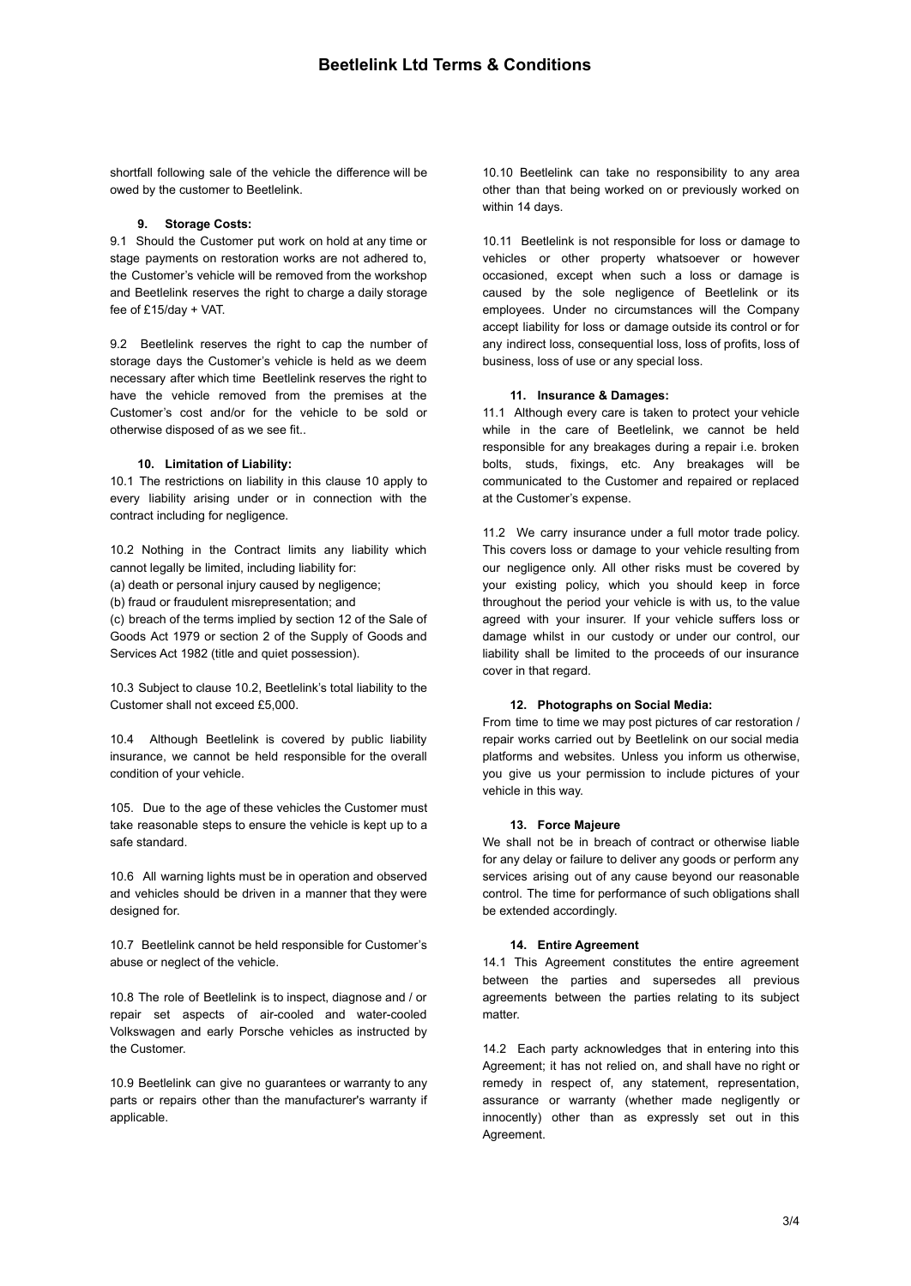shortfall following sale of the vehicle the difference will be owed by the customer to Beetlelink.

# **9. Storage Costs:**

9.1 Should the Customer put work on hold at any time or stage payments on restoration works are not adhered to, the Customer's vehicle will be removed from the workshop and Beetlelink reserves the right to charge a daily storage fee of £15/day + VAT.

9.2 Beetlelink reserves the right to cap the number of storage days the Customer's vehicle is held as we deem necessary after which time Beetlelink reserves the right to have the vehicle removed from the premises at the Customer's cost and/or for the vehicle to be sold or otherwise disposed of as we see fit..

### **10. Limitation of Liability:**

10.1 The restrictions on liability in this clause 10 apply to every liability arising under or in connection with the contract including for negligence.

10.2 Nothing in the Contract limits any liability which cannot legally be limited, including liability for:

(a) death or personal injury caused by negligence:

(b) fraud or fraudulent misrepresentation; and

(c) breach of the terms implied by section 12 of the Sale of Goods Act 1979 or section 2 of the Supply of Goods and Services Act 1982 (title and quiet possession).

10.3 Subject to clause 10.2, Beetlelink's total liability to the Customer shall not exceed £5,000.

10.4 Although Beetlelink is covered by public liability insurance, we cannot be held responsible for the overall condition of your vehicle.

105. Due to the age of these vehicles the Customer must take reasonable steps to ensure the vehicle is kept up to a safe standard.

10.6 All warning lights must be in operation and observed and vehicles should be driven in a manner that they were designed for.

10.7 Beetlelink cannot be held responsible for Customer's abuse or neglect of the vehicle.

10.8 The role of Beetlelink is to inspect, diagnose and / or repair set aspects of air-cooled and water-cooled Volkswagen and early Porsche vehicles as instructed by the Customer.

10.9 Beetlelink can give no guarantees or warranty to any parts or repairs other than the manufacturer's warranty if applicable.

10.10 Beetlelink can take no responsibility to any area other than that being worked on or previously worked on within 14 days.

10.11 Beetlelink is not responsible for loss or damage to vehicles or other property whatsoever or however occasioned, except when such a loss or damage is caused by the sole negligence of Beetlelink or its employees. Under no circumstances will the Company accept liability for loss or damage outside its control or for any indirect loss, consequential loss, loss of profits, loss of business, loss of use or any special loss.

## **11. Insurance & Damages:**

11.1 Although every care is taken to protect your vehicle while in the care of Beetlelink, we cannot be held responsible for any breakages during a repair i.e. broken bolts, studs, fixings, etc. Any breakages will be communicated to the Customer and repaired or replaced at the Customer's expense.

11.2 We carry insurance under a full motor trade policy. This covers loss or damage to your vehicle resulting from our negligence only. All other risks must be covered by your existing policy, which you should keep in force throughout the period your vehicle is with us, to the value agreed with your insurer. If your vehicle suffers loss or damage whilst in our custody or under our control, our liability shall be limited to the proceeds of our insurance cover in that regard.

### **12. Photographs on Social Media:**

From time to time we may post pictures of car restoration / repair works carried out by Beetlelink on our social media platforms and websites. Unless you inform us otherwise, you give us your permission to include pictures of your vehicle in this way.

### **13. Force Majeure**

We shall not be in breach of contract or otherwise liable for any delay or failure to deliver any goods or perform any services arising out of any cause beyond our reasonable control. The time for performance of such obligations shall be extended accordingly.

### **14. Entire Agreement**

14.1 This Agreement constitutes the entire agreement between the parties and supersedes all previous agreements between the parties relating to its subject matter.

14.2 Each party acknowledges that in entering into this Agreement; it has not relied on, and shall have no right or remedy in respect of, any statement, representation, assurance or warranty (whether made negligently or innocently) other than as expressly set out in this Agreement.